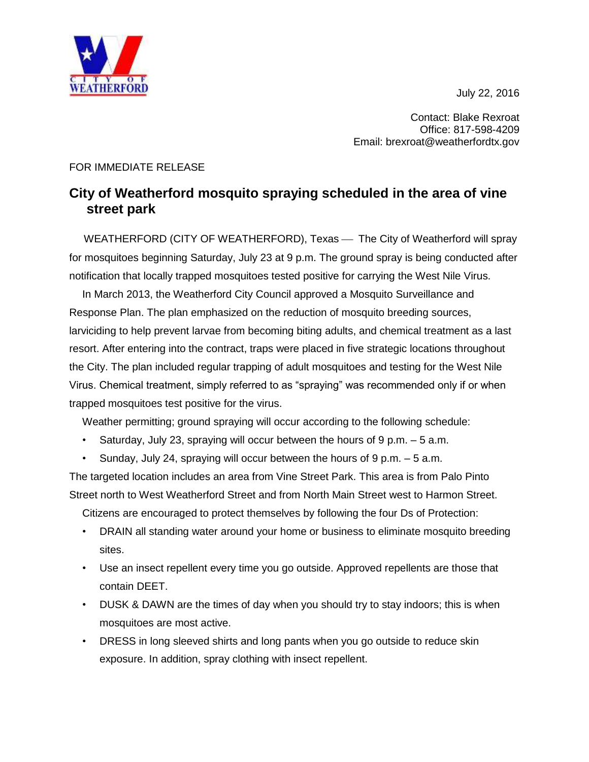July 22, 2016



Contact: Blake Rexroat Office: 817-598-4209 Email: brexroat@weatherfordtx.gov

## FOR IMMEDIATE RELEASE

## **City of Weatherford mosquito spraying scheduled in the area of vine street park**

WEATHERFORD (CITY OF WEATHERFORD), Texas — The City of Weatherford will spray for mosquitoes beginning Saturday, July 23 at 9 p.m. The ground spray is being conducted after notification that locally trapped mosquitoes tested positive for carrying the West Nile Virus.

In March 2013, the Weatherford City Council approved a Mosquito Surveillance and Response Plan. The plan emphasized on the reduction of mosquito breeding sources, larviciding to help prevent larvae from becoming biting adults, and chemical treatment as a last resort. After entering into the contract, traps were placed in five strategic locations throughout the City. The plan included regular trapping of adult mosquitoes and testing for the West Nile Virus. Chemical treatment, simply referred to as "spraying" was recommended only if or when trapped mosquitoes test positive for the virus.

Weather permitting; ground spraying will occur according to the following schedule:

- Saturday, July 23, spraying will occur between the hours of  $9 \text{ p.m.} 5 \text{ a.m.}$
- Sunday, July 24, spraying will occur between the hours of  $9 \text{ p.m.} 5 \text{ a.m.}$

The targeted location includes an area from Vine Street Park. This area is from Palo Pinto Street north to West Weatherford Street and from North Main Street west to Harmon Street.

Citizens are encouraged to protect themselves by following the four Ds of Protection:

- DRAIN all standing water around your home or business to eliminate mosquito breeding sites.
- Use an insect repellent every time you go outside. Approved repellents are those that contain DEET.
- DUSK & DAWN are the times of day when you should try to stay indoors; this is when mosquitoes are most active.
- DRESS in long sleeved shirts and long pants when you go outside to reduce skin exposure. In addition, spray clothing with insect repellent.